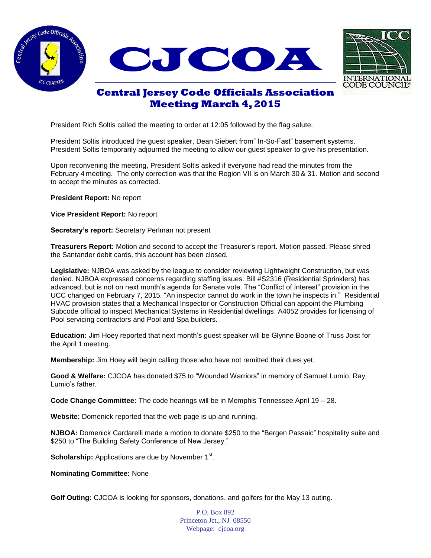





## **Central Jersey Code Officials Association Meeting March 4, 2015**

President Rich Soltis called the meeting to order at 12:05 followed by the flag salute.

President Soltis introduced the guest speaker, Dean Siebert from" In-So-Fast" basement systems. President Soltis temporarily adjourned the meeting to allow our guest speaker to give his presentation.

Upon reconvening the meeting, President Soltis asked if everyone had read the minutes from the February 4 meeting. The only correction was that the Region VII is on March 30 & 31. Motion and second to accept the minutes as corrected.

**President Report:** No report

**Vice President Report:** No report

**Secretary's report:** Secretary Perlman not present

**Treasurers Report:** Motion and second to accept the Treasurer's report. Motion passed. Please shred the Santander debit cards, this account has been closed.

**Legislative:** NJBOA was asked by the league to consider reviewing Lightweight Construction, but was denied. NJBOA expressed concerns regarding staffing issues. Bill #S2316 (Residential Sprinklers) has advanced, but is not on next month's agenda for Senate vote. The "Conflict of Interest" provision in the UCC changed on February 7, 2015. "An inspector cannot do work in the town he inspects in." Residential HVAC provision states that a Mechanical Inspector or Construction Official can appoint the Plumbing Subcode official to inspect Mechanical Systems in Residential dwellings. A4052 provides for licensing of Pool servicing contractors and Pool and Spa builders.

**Education:** Jim Hoey reported that next month's guest speaker will be Glynne Boone of Truss Joist for the April 1 meeting.

**Membership:** Jim Hoey will begin calling those who have not remitted their dues yet.

**Good & Welfare:** CJCOA has donated \$75 to "Wounded Warriors" in memory of Samuel Lumio, Ray Lumio's father.

**Code Change Committee:** The code hearings will be in Memphis Tennessee April 19 – 28.

**Website:** Domenick reported that the web page is up and running.

**NJBOA:** Domenick Cardarelli made a motion to donate \$250 to the "Bergen Passaic" hospitality suite and \$250 to "The Building Safety Conference of New Jersey."

**Scholarship:** Applications are due by November 1<sup>st</sup>.

**Nominating Committee:** None

**Golf Outing:** CJCOA is looking for sponsors, donations, and golfers for the May 13 outing.

P.O. Box 892 Princeton Jct., NJ 08550 Webpage: cjcoa.org